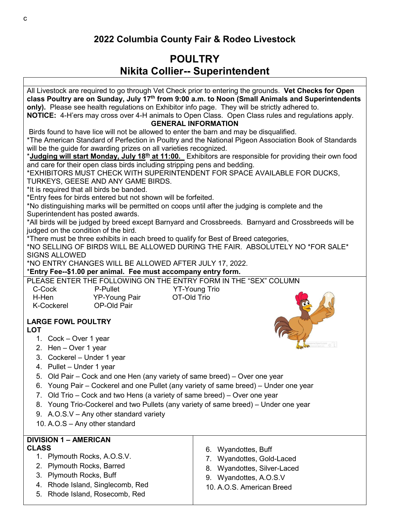## **POULTRY Nikita Collier-- Superintendent**

All Livestock are required to go through Vet Check prior to entering the grounds. **Vet Checks for Open class Poultry are on Sunday, July 17th from 9:00 a.m. to Noon (Small Animals and Superintendents only).** Please see health regulations on Exhibitor info page. They will be strictly adhered to.

**NOTICE:** 4-H'ers may cross over 4-H animals to Open Class. Open Class rules and regulations apply. **GENERAL INFORMATION**

Birds found to have lice will not be allowed to enter the barn and may be disqualified.

\*The American Standard of Perfection in Poultry and the National Pigeon Association Book of Standards will be the guide for awarding prizes on all varieties recognized.

\***Judging will start Monday, July 18th at 11:00.** Exhibitors are responsible for providing their own food and care for their open class birds including stripping pens and bedding.

\*EXHIBITORS MUST CHECK WITH SUPERINTENDENT FOR SPACE AVAILABLE FOR DUCKS,

TURKEYS, GEESE AND ANY GAME BIRDS.

\*It is required that all birds be banded.

\*Entry fees for birds entered but not shown will be forfeited.

\*No distinguishing marks will be permitted on coops until after the judging is complete and the Superintendent has posted awards.

\*All birds will be judged by breed except Barnyard and Crossbreeds. Barnyard and Crossbreeds will be judged on the condition of the bird.

\*There must be three exhibits in each breed to qualify for Best of Breed categories,

\*NO SELLING OF BIRDS WILL BE ALLOWED DURING THE FAIR. ABSOLUTELY NO \*FOR SALE\* SIGNS ALLOWED

YT-Young Trio

\*NO ENTRY CHANGES WILL BE ALLOWED AFTER JULY 17, 2022.

## \***Entry Fee--\$1.00 per animal. Fee must accompany entry form.**

PLEASE ENTER THE FOLLOWING ON THE ENTRY FORM IN THE "SEX" COLUMN

| C-Cock            | P-Pullet             | YT-Young T  |
|-------------------|----------------------|-------------|
| H-Hen             | <b>YP-Young Pair</b> | OT-Old Trio |
| <b>K-Cockerel</b> | OP-Old Pair          |             |

## **LARGE FOWL POULTRY LOT**

- 1. Cock Over 1 year
- 2. Hen Over 1 year
- 3. Cockerel Under 1 year
- 4. Pullet Under 1 year
- 5. Old Pair Cock and one Hen (any variety of same breed) Over one year
- 6. Young Pair Cockerel and one Pullet (any variety of same breed) Under one year
- 7. Old Trio Cock and two Hens (a variety of same breed) Over one year
- 8. Young Trio-Cockerel and two Pullets (any variety of same breed) Under one year
- 9. A.O.S.V Any other standard variety
- 10. A.O.S Any other standard

## **DIVISION 1 – AMERICAN CLASS**

- 1. Plymouth Rocks, A.O.S.V.
- 2. Plymouth Rocks, Barred
- 3. Plymouth Rocks, Buff
- 4. Rhode Island, Singlecomb, Red
- 5. Rhode Island, Rosecomb, Red
- 6. Wyandottes, Buff
- 7. Wyandottes, Gold-Laced
- 8. Wyandottes, Silver-Laced
- 9. Wyandottes, A.O.S.V
- 10. A.O.S. American Breed

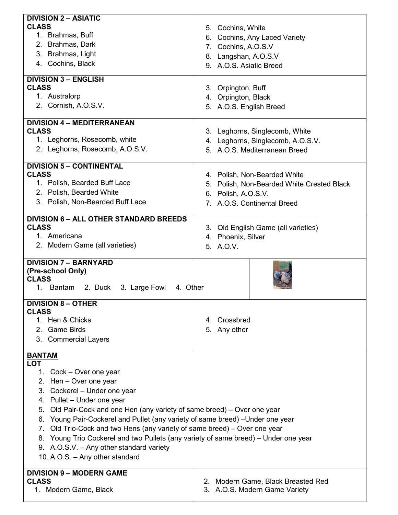| <b>DIVISION 2 - ASIATIC</b>                                                         |                                                                     |  |  |
|-------------------------------------------------------------------------------------|---------------------------------------------------------------------|--|--|
| <b>CLASS</b>                                                                        | 5. Cochins, White                                                   |  |  |
| 1. Brahmas, Buff                                                                    | 6. Cochins, Any Laced Variety                                       |  |  |
| 2. Brahmas, Dark                                                                    |                                                                     |  |  |
| 3. Brahmas, Light                                                                   | 7. Cochins, A.O.S.V                                                 |  |  |
| 4. Cochins, Black                                                                   | 8. Langshan, A.O.S.V<br>9. A.O.S. Asiatic Breed                     |  |  |
|                                                                                     |                                                                     |  |  |
| <b>DIVISION 3 - ENGLISH</b>                                                         |                                                                     |  |  |
| <b>CLASS</b>                                                                        | 3. Orpington, Buff                                                  |  |  |
| 1. Australorp                                                                       | 4. Orpington, Black                                                 |  |  |
| 2. Cornish, A.O.S.V.                                                                | 5. A.O.S. English Breed                                             |  |  |
| <b>DIVISION 4 - MEDITERRANEAN</b>                                                   |                                                                     |  |  |
| <b>CLASS</b>                                                                        | 3. Leghorns, Singlecomb, White                                      |  |  |
| 1. Leghorns, Rosecomb, white                                                        | 4. Leghorns, Singlecomb, A.O.S.V.                                   |  |  |
| 2. Leghorns, Rosecomb, A.O.S.V.                                                     | 5. A.O.S. Mediterranean Breed                                       |  |  |
|                                                                                     |                                                                     |  |  |
| <b>DIVISION 5 - CONTINENTAL</b>                                                     |                                                                     |  |  |
| <b>CLASS</b>                                                                        | 4. Polish, Non-Bearded White                                        |  |  |
| 1. Polish, Bearded Buff Lace                                                        | 5. Polish, Non-Bearded White Crested Black                          |  |  |
| 2. Polish, Bearded White                                                            | 6. Polish, A.O.S.V.                                                 |  |  |
| 3. Polish, Non-Bearded Buff Lace                                                    | 7. A.O.S. Continental Breed                                         |  |  |
| <b>DIVISION 6 - ALL OTHER STANDARD BREEDS</b>                                       |                                                                     |  |  |
| <b>CLASS</b>                                                                        | 3. Old English Game (all varieties)<br>4. Phoenix, Silver           |  |  |
| 1. Americana                                                                        |                                                                     |  |  |
| 2. Modern Game (all varieties)                                                      | 5. A.O.V.                                                           |  |  |
|                                                                                     |                                                                     |  |  |
|                                                                                     |                                                                     |  |  |
| <b>DIVISION 7 - BARNYARD</b>                                                        |                                                                     |  |  |
| (Pre-school Only)                                                                   |                                                                     |  |  |
| <b>CLASS</b>                                                                        |                                                                     |  |  |
| 1. Bantam 2. Duck 3. Large Fowl 4. Other                                            |                                                                     |  |  |
| <b>DIVISION 8 - OTHER</b>                                                           |                                                                     |  |  |
| <b>CLASS</b>                                                                        |                                                                     |  |  |
| 1. Hen & Chicks                                                                     | 4. Crossbred                                                        |  |  |
| 2. Game Birds                                                                       | 5. Any other                                                        |  |  |
| 3. Commercial Layers                                                                |                                                                     |  |  |
|                                                                                     |                                                                     |  |  |
| <b>BANTAM</b><br><b>LOT</b>                                                         |                                                                     |  |  |
| 1. Cock – Over one year                                                             |                                                                     |  |  |
| 2. Hen - Over one year                                                              |                                                                     |  |  |
| 3. Cockerel - Under one year                                                        |                                                                     |  |  |
| 4. Pullet - Under one year                                                          |                                                                     |  |  |
| Old Pair-Cock and one Hen (any variety of same breed) – Over one year<br>5.         |                                                                     |  |  |
| Young Pair-Cockerel and Pullet (any variety of same breed) - Under one year<br>6.   |                                                                     |  |  |
| Old Trio-Cock and two Hens (any variety of same breed) – Over one year<br>7.        |                                                                     |  |  |
| 8. Young Trio Cockerel and two Pullets (any variety of same breed) – Under one year |                                                                     |  |  |
| 9. A.O.S.V. - Any other standard variety                                            |                                                                     |  |  |
| 10. A.O.S. - Any other standard                                                     |                                                                     |  |  |
|                                                                                     |                                                                     |  |  |
| <b>DIVISION 9 - MODERN GAME</b>                                                     |                                                                     |  |  |
| <b>CLASS</b><br>1. Modern Game, Black                                               | 2. Modern Game, Black Breasted Red<br>3. A.O.S. Modern Game Variety |  |  |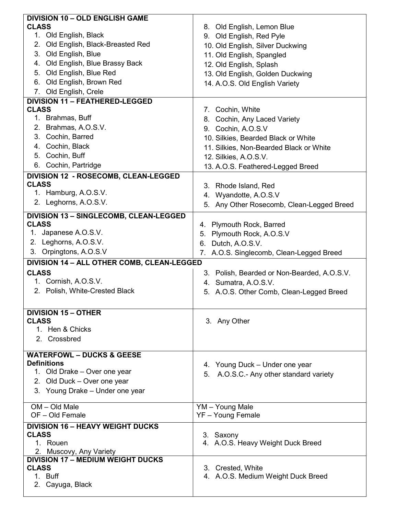| <b>DIVISION 10 - OLD ENGLISH GAME</b>                   |                                             |  |  |  |
|---------------------------------------------------------|---------------------------------------------|--|--|--|
| <b>CLASS</b>                                            | 8. Old English, Lemon Blue                  |  |  |  |
| 1. Old English, Black                                   | 9. Old English, Red Pyle                    |  |  |  |
| 2. Old English, Black-Breasted Red                      | 10. Old English, Silver Duckwing            |  |  |  |
| 3. Old English, Blue                                    | 11. Old English, Spangled                   |  |  |  |
| 4. Old English, Blue Brassy Back                        |                                             |  |  |  |
| 5. Old English, Blue Red                                | 12. Old English, Splash                     |  |  |  |
| 6. Old English, Brown Red                               | 13. Old English, Golden Duckwing            |  |  |  |
| 7. Old English, Crele                                   | 14. A.O.S. Old English Variety              |  |  |  |
| <b>DIVISION 11 - FEATHERED-LEGGED</b>                   |                                             |  |  |  |
| <b>CLASS</b>                                            | 7. Cochin, White                            |  |  |  |
| 1. Brahmas, Buff                                        | 8. Cochin, Any Laced Variety                |  |  |  |
| 2. Brahmas, A.O.S.V.                                    | 9. Cochin, A.O.S.V                          |  |  |  |
| 3. Cochin, Barred                                       |                                             |  |  |  |
| 4. Cochin, Black                                        | 10. Silkies, Bearded Black or White         |  |  |  |
|                                                         | 11. Silkies, Non-Bearded Black or White     |  |  |  |
| 5. Cochin, Buff                                         | 12. Silkies, A.O.S.V.                       |  |  |  |
| 6. Cochin, Partridge                                    | 13. A.O.S. Feathered-Legged Breed           |  |  |  |
| DIVISION 12 - ROSECOMB, CLEAN-LEGGED                    |                                             |  |  |  |
| <b>CLASS</b>                                            | 3. Rhode Island, Red                        |  |  |  |
| 1. Hamburg, A.O.S.V.                                    | 4. Wyandotte, A.O.S.V                       |  |  |  |
| 2. Leghorns, A.O.S.V.                                   | 5. Any Other Rosecomb, Clean-Legged Breed   |  |  |  |
| <b>DIVISION 13 - SINGLECOMB, CLEAN-LEGGED</b>           |                                             |  |  |  |
| <b>CLASS</b>                                            | 4. Plymouth Rock, Barred                    |  |  |  |
| 1. Japanese A.O.S.V.                                    | 5. Plymouth Rock, A.O.S.V                   |  |  |  |
| 2. Leghorns, A.O.S.V.                                   | 6. Dutch, A.O.S.V.                          |  |  |  |
| 3. Orpingtons, A.O.S.V                                  | 7. A.O.S. Singlecomb, Clean-Legged Breed    |  |  |  |
| DIVISION 14 - ALL OTHER COMB, CLEAN-LEGGED              |                                             |  |  |  |
| <b>CLASS</b>                                            | 3. Polish, Bearded or Non-Bearded, A.O.S.V. |  |  |  |
| 1. Cornish, A.O.S.V.                                    | 4. Sumatra, A.O.S.V.                        |  |  |  |
| 2. Polish, White-Crested Black                          | 5. A.O.S. Other Comb, Clean-Legged Breed    |  |  |  |
|                                                         |                                             |  |  |  |
| <b>DIVISION 15 - OTHER</b>                              |                                             |  |  |  |
| <b>CLASS</b>                                            | 3. Any Other                                |  |  |  |
| 1. Hen & Chicks                                         |                                             |  |  |  |
| 2. Crossbred                                            |                                             |  |  |  |
|                                                         |                                             |  |  |  |
| <b>WATERFOWL - DUCKS &amp; GEESE</b>                    |                                             |  |  |  |
| <b>Definitions</b>                                      | 4. Young Duck – Under one year              |  |  |  |
| 1. Old Drake - Over one year                            | 5. A.O.S.C.- Any other standard variety     |  |  |  |
| 2. Old Duck - Over one year                             |                                             |  |  |  |
| 3. Young Drake - Under one year                         |                                             |  |  |  |
| OM - Old Male                                           | YM - Young Male                             |  |  |  |
| OF-Old Female                                           | YF - Young Female                           |  |  |  |
|                                                         |                                             |  |  |  |
| <b>DIVISION 16 - HEAVY WEIGHT DUCKS</b><br><b>CLASS</b> | 3. Saxony                                   |  |  |  |
| 1. Rouen                                                | 4. A.O.S. Heavy Weight Duck Breed           |  |  |  |
| 2. Muscovy, Any Variety                                 |                                             |  |  |  |
| <b>DIVISION 17 - MEDIUM WEIGHT DUCKS</b>                |                                             |  |  |  |
| <b>CLASS</b>                                            | 3. Crested, White                           |  |  |  |
| 1. Buff                                                 | 4. A.O.S. Medium Weight Duck Breed          |  |  |  |
| 2. Cayuga, Black                                        |                                             |  |  |  |
|                                                         |                                             |  |  |  |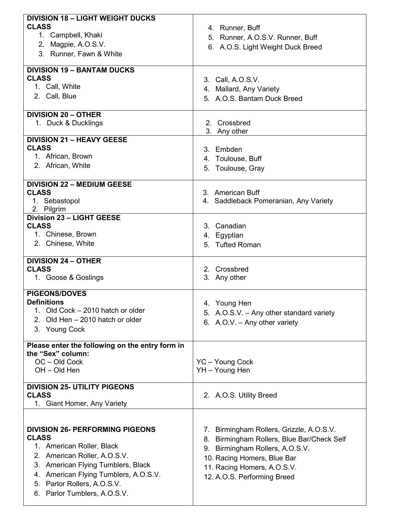| <b>DIVISION 18 - LIGHT WEIGHT DUCKS</b>         |                                            |  |  |  |
|-------------------------------------------------|--------------------------------------------|--|--|--|
| <b>CLASS</b>                                    | 4. Runner, Buff                            |  |  |  |
| 1. Campbell, Khaki                              | 5. Runner, A.O.S.V. Runner, Buff           |  |  |  |
| 2. Magpie, A.O.S.V.                             |                                            |  |  |  |
| 3. Runner, Fawn & White                         | 6. A.O.S. Light Weight Duck Breed          |  |  |  |
|                                                 |                                            |  |  |  |
|                                                 |                                            |  |  |  |
| <b>DIVISION 19 - BANTAM DUCKS</b>               |                                            |  |  |  |
| <b>CLASS</b>                                    | 3. Call, A.O.S.V.                          |  |  |  |
| 1. Call, White                                  | 4. Mallard, Any Variety                    |  |  |  |
| 2. Call, Blue                                   | 5. A.O.S. Bantam Duck Breed                |  |  |  |
|                                                 |                                            |  |  |  |
| <b>DIVISION 20 - OTHER</b>                      |                                            |  |  |  |
| 1. Duck & Ducklings                             | Crossbred<br>2.                            |  |  |  |
|                                                 |                                            |  |  |  |
|                                                 | 3. Any other                               |  |  |  |
| <b>DIVISION 21 - HEAVY GEESE</b>                |                                            |  |  |  |
| <b>CLASS</b>                                    | 3. Embden                                  |  |  |  |
| 1. African, Brown                               | 4. Toulouse, Buff                          |  |  |  |
| 2. African, White                               | 5. Toulouse, Gray                          |  |  |  |
|                                                 |                                            |  |  |  |
| <b>DIVISION 22 - MEDIUM GEESE</b>               |                                            |  |  |  |
| <b>CLASS</b>                                    | 3. American Buff                           |  |  |  |
|                                                 |                                            |  |  |  |
| 1. Sebastopol                                   | 4. Saddleback Pomeranian, Any Variety      |  |  |  |
| 2. Pilgrim                                      |                                            |  |  |  |
| <b>Division 23 - LIGHT GEESE</b>                |                                            |  |  |  |
| <b>CLASS</b>                                    | 3. Canadian                                |  |  |  |
| 1. Chinese, Brown                               | 4. Egyptian                                |  |  |  |
| 2. Chinese, White                               | 5. Tufted Roman                            |  |  |  |
|                                                 |                                            |  |  |  |
| <b>DIVISION 24 - OTHER</b>                      |                                            |  |  |  |
| <b>CLASS</b>                                    | 2. Crossbred                               |  |  |  |
| 1. Goose & Goslings                             | 3. Any other                               |  |  |  |
|                                                 |                                            |  |  |  |
| <b>PIGEONS/DOVES</b>                            |                                            |  |  |  |
|                                                 |                                            |  |  |  |
|                                                 |                                            |  |  |  |
| <b>Definitions</b>                              | 4. Young Hen                               |  |  |  |
| 1. Old Cock - 2010 hatch or older               | 5. A.O.S.V. - Any other standard variety   |  |  |  |
| Old Hen - 2010 hatch or older<br>$2_{-}$        | 6. A.O.V. - Any other variety              |  |  |  |
| 3. Young Cock                                   |                                            |  |  |  |
|                                                 |                                            |  |  |  |
| Please enter the following on the entry form in |                                            |  |  |  |
| the "Sex" column:                               |                                            |  |  |  |
|                                                 |                                            |  |  |  |
| OC-Old Cock                                     | YC - Young Cock                            |  |  |  |
| OH - Old Hen                                    | YH - Young Hen                             |  |  |  |
|                                                 |                                            |  |  |  |
| <b>DIVISION 25- UTILITY PIGEONS</b>             |                                            |  |  |  |
| <b>CLASS</b>                                    | 2. A.O.S. Utility Breed                    |  |  |  |
| 1. Giant Homer, Any Variety                     |                                            |  |  |  |
|                                                 |                                            |  |  |  |
|                                                 |                                            |  |  |  |
| <b>DIVISION 26- PERFORMING PIGEONS</b>          | 7. Birmingham Rollers, Grizzle, A.O.S.V.   |  |  |  |
| <b>CLASS</b>                                    | 8. Birmingham Rollers, Blue Bar/Check Self |  |  |  |
| 1. American Roller, Black                       |                                            |  |  |  |
| 2. American Roller, A.O.S.V.                    | 9. Birmingham Rollers, A.O.S.V.            |  |  |  |
|                                                 | 10. Racing Homers, Blue Bar                |  |  |  |
| 3. American Flying Tumblers, Black              | 11. Racing Homers, A.O.S.V.                |  |  |  |
| 4. American Flying Tumblers, A.O.S.V.           | 12. A.O.S. Performing Breed                |  |  |  |
| 5. Parlor Rollers, A.O.S.V.                     |                                            |  |  |  |
| 6. Parlor Tumblers, A.O.S.V.                    |                                            |  |  |  |